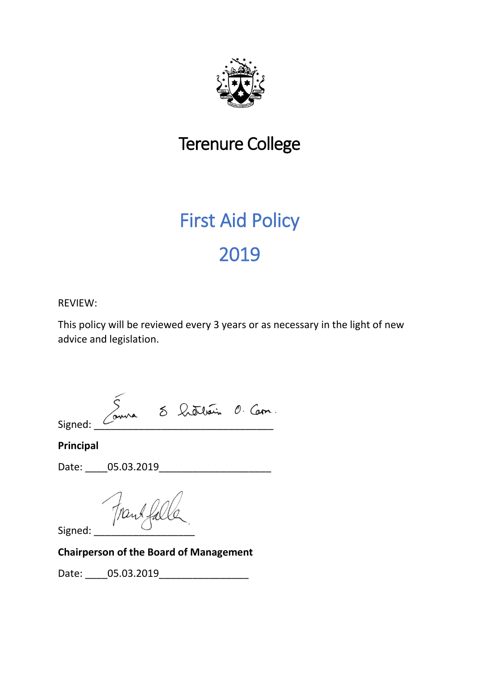

# Terenure College

# First Aid Policy 2019

## REVIEW:

This policy will be reviewed every 3 years or as necessary in the light of new advice and legislation.

 $Signed: \begin{array}{|l|} \hline \begin{array}{ccc} \text{S} & \text{S} & \text{Cubic} & \text{O} & \text{Corn.} \ \hline \end{array} \end{array}$ 

**Principal**

Date: \_\_\_\_05.03.2019\_\_\_\_\_\_\_\_\_\_\_\_\_\_\_\_\_\_\_\_

Trankfal

Signed:

## **Chairperson of the Board of Management**

Date: 05.03.2019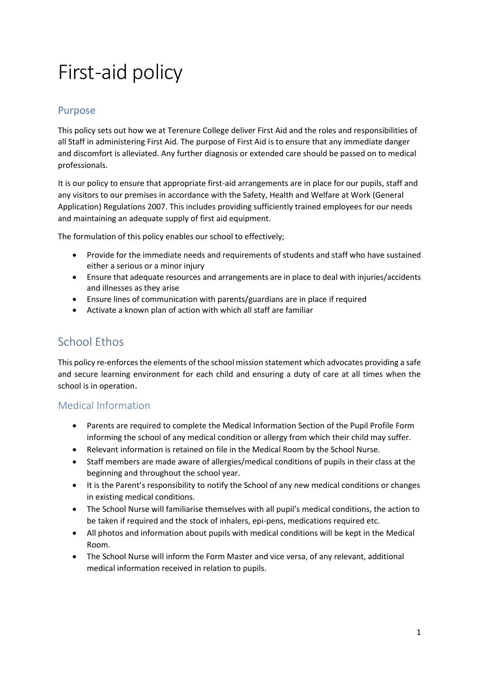# First-aid policy

## Purpose

This policy sets out how we at Terenure College deliver First Aid and the roles and responsibilities of all Staff in administering First Aid. The purpose of First Aid is to ensure that any immediate danger and discomfort is alleviated. Any further diagnosis or extended care should be passed on to medical professionals.

It is our policy to ensure that appropriate first-aid arrangements are in place for our pupils, staff and any visitors to our premises in accordance with the Safety, Health and Welfare at Work (General Application) Regulations 2007. This includes providing sufficiently trained employees for our needs and maintaining an adequate supply of first aid equipment.

The formulation of this policy enables our school to effectively;

- Provide for the immediate needs and requirements of students and staff who have sustained either a serious or a minor injury
- Ensure that adequate resources and arrangements are in place to deal with injuries/accidents and illnesses as they arise
- Ensure lines of communication with parents/guardians are in place if required
- Activate a known plan of action with which all staff are familiar

# School Ethos

This policy re-enforces the elements of the school mission statement which advocates providing a safe and secure learning environment for each child and ensuring a duty of care at all times when the school is in operation.

## Medical Information

- Parents are required to complete the Medical Information Section of the Pupil Profile Form informing the school of any medical condition or allergy from which their child may suffer.
- Relevant information is retained on file in the Medical Room by the School Nurse.
- Staff members are made aware of allergies/medical conditions of pupils in their class at the beginning and throughout the school year.
- It is the Parent's responsibility to notify the School of any new medical conditions or changes in existing medical conditions.
- The School Nurse will familiarise themselves with all pupil's medical conditions, the action to be taken if required and the stock of inhalers, epi-pens, medications required etc.
- All photos and information about pupils with medical conditions will be kept in the Medical Room.
- The School Nurse will inform the Form Master and vice versa, of any relevant, additional medical information received in relation to pupils.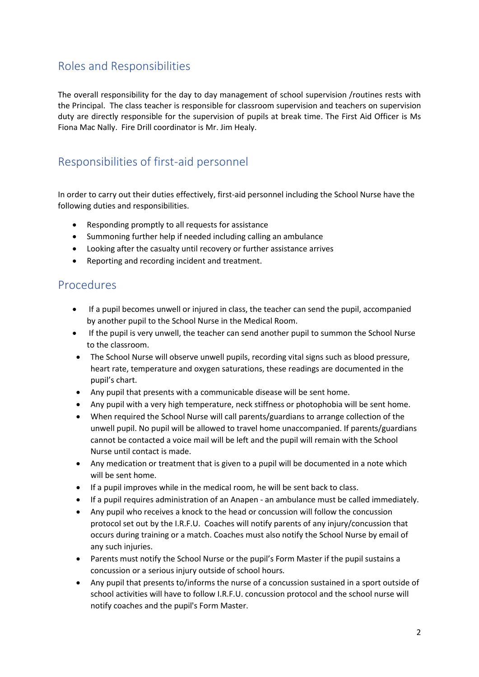# Roles and Responsibilities

The overall responsibility for the day to day management of school supervision /routines rests with the Principal. The class teacher is responsible for classroom supervision and teachers on supervision duty are directly responsible for the supervision of pupils at break time. The First Aid Officer is Ms Fiona Mac Nally. Fire Drill coordinator is Mr. Jim Healy.

# Responsibilities of first-aid personnel

In order to carry out their duties effectively, first-aid personnel including the School Nurse have the following duties and responsibilities.

- Responding promptly to all requests for assistance
- Summoning further help if needed including calling an ambulance
- Looking after the casualty until recovery or further assistance arrives
- Reporting and recording incident and treatment.

## Procedures

- If a pupil becomes unwell or injured in class, the teacher can send the pupil, accompanied by another pupil to the School Nurse in the Medical Room.
- If the pupil is very unwell, the teacher can send another pupil to summon the School Nurse to the classroom.
- The School Nurse will observe unwell pupils, recording vital signs such as blood pressure, heart rate, temperature and oxygen saturations, these readings are documented in the pupil's chart.
- Any pupil that presents with a communicable disease will be sent home.
- Any pupil with a very high temperature, neck stiffness or photophobia will be sent home.
- When required the School Nurse will call parents/guardians to arrange collection of the unwell pupil. No pupil will be allowed to travel home unaccompanied. If parents/guardians cannot be contacted a voice mail will be left and the pupil will remain with the School Nurse until contact is made.
- Any medication or treatment that is given to a pupil will be documented in a note which will be sent home.
- If a pupil improves while in the medical room, he will be sent back to class.
- If a pupil requires administration of an Anapen an ambulance must be called immediately.
- Any pupil who receives a knock to the head or concussion will follow the concussion protocol set out by the I.R.F.U. Coaches will notify parents of any injury/concussion that occurs during training or a match. Coaches must also notify the School Nurse by email of any such injuries.
- Parents must notify the School Nurse or the pupil's Form Master if the pupil sustains a concussion or a serious injury outside of school hours.
- Any pupil that presents to/informs the nurse of a concussion sustained in a sport outside of school activities will have to follow I.R.F.U. concussion protocol and the school nurse will notify coaches and the pupil's Form Master.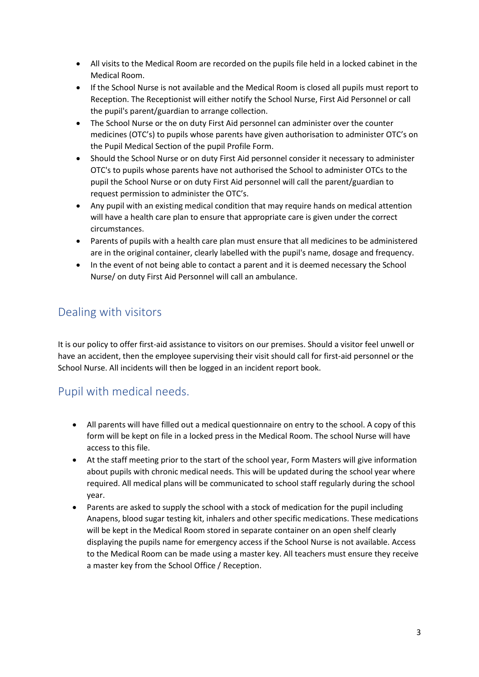- All visits to the Medical Room are recorded on the pupils file held in a locked cabinet in the Medical Room.
- If the School Nurse is not available and the Medical Room is closed all pupils must report to Reception. The Receptionist will either notify the School Nurse, First Aid Personnel or call the pupil's parent/guardian to arrange collection.
- The School Nurse or the on duty First Aid personnel can administer over the counter medicines (OTC's) to pupils whose parents have given authorisation to administer OTC's on the Pupil Medical Section of the pupil Profile Form.
- Should the School Nurse or on duty First Aid personnel consider it necessary to administer OTC's to pupils whose parents have not authorised the School to administer OTCs to the pupil the School Nurse or on duty First Aid personnel will call the parent/guardian to request permission to administer the OTC's.
- Any pupil with an existing medical condition that may require hands on medical attention will have a health care plan to ensure that appropriate care is given under the correct circumstances.
- Parents of pupils with a health care plan must ensure that all medicines to be administered are in the original container, clearly labelled with the pupil's name, dosage and frequency.
- In the event of not being able to contact a parent and it is deemed necessary the School Nurse/ on duty First Aid Personnel will call an ambulance.

# Dealing with visitors

It is our policy to offer first-aid assistance to visitors on our premises. Should a visitor feel unwell or have an accident, then the employee supervising their visit should call for first-aid personnel or the School Nurse. All incidents will then be logged in an incident report book.

# Pupil with medical needs.

- All parents will have filled out a medical questionnaire on entry to the school. A copy of this form will be kept on file in a locked press in the Medical Room. The school Nurse will have access to this file.
- At the staff meeting prior to the start of the school year, Form Masters will give information about pupils with chronic medical needs. This will be updated during the school year where required. All medical plans will be communicated to school staff regularly during the school year.
- Parents are asked to supply the school with a stock of medication for the pupil including Anapens, blood sugar testing kit, inhalers and other specific medications. These medications will be kept in the Medical Room stored in separate container on an open shelf clearly displaying the pupils name for emergency access if the School Nurse is not available. Access to the Medical Room can be made using a master key. All teachers must ensure they receive a master key from the School Office / Reception.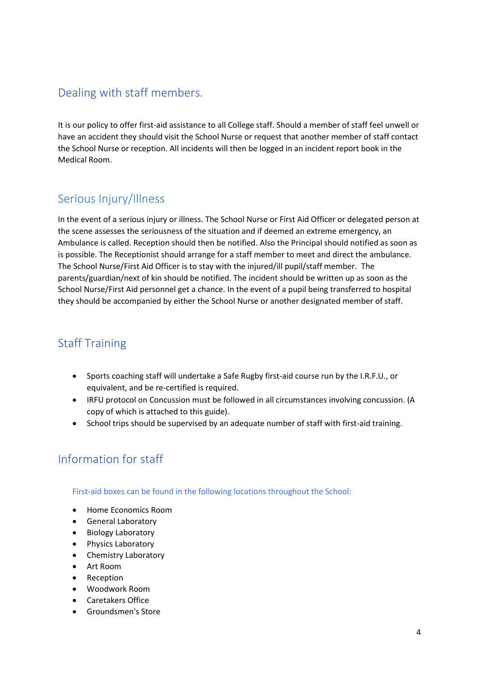# Dealing with staff members.

It is our policy to offer first-aid assistance to all College staff. Should a member of staff feel unwell or have an accident they should visit the School Nurse or request that another member of staff contact the School Nurse or reception. All incidents will then be logged in an incident report book in the Medical Room.

# Serious Injury/Illness

In the event of a serious injury or illness. The School Nurse or First Aid Officer or delegated person at the scene assesses the seriousness of the situation and if deemed an extreme emergency, an Ambulance is called. Reception should then be notified. Also the Principal should notified as soon as is possible. The Receptionist should arrange for a staff member to meet and direct the ambulance. The School Nurse/First Aid Officer is to stay with the injured/ill pupil/staff member. The parents/guardian/next of kin should be notified. The incident should be written up as soon as the School Nurse/First Aid personnel get a chance. In the event of a pupil being transferred to hospital they should be accompanied by either the School Nurse or another designated member of staff.

# Staff Training

- Sports coaching staff will undertake a Safe Rugby first-aid course run by the I.R.F.U., or equivalent, and be re-certified is required.
- IRFU protocol on Concussion must be followed in all circumstances involving concussion. (A copy of which is attached to this guide).
- School trips should be supervised by an adequate number of staff with first-aid training.

# Information for staff

First-aid boxes can be found in the following locations throughout the School:

- Home Economics Room
- General Laboratory
- Biology Laboratory
- Physics Laboratory
- Chemistry Laboratory
- Art Room
- **Reception**
- Woodwork Room
- Caretakers Office
- Groundsmen's Store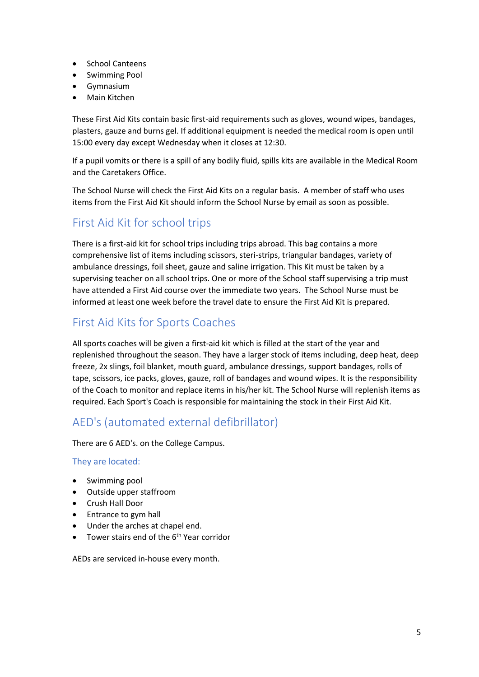- School Canteens
- Swimming Pool
- Gymnasium
- Main Kitchen

These First Aid Kits contain basic first-aid requirements such as gloves, wound wipes, bandages, plasters, gauze and burns gel. If additional equipment is needed the medical room is open until 15:00 every day except Wednesday when it closes at 12:30.

If a pupil vomits or there is a spill of any bodily fluid, spills kits are available in the Medical Room and the Caretakers Office.

The School Nurse will check the First Aid Kits on a regular basis. A member of staff who uses items from the First Aid Kit should inform the School Nurse by email as soon as possible.

# First Aid Kit for school trips

There is a first-aid kit for school trips including trips abroad. This bag contains a more comprehensive list of items including scissors, steri-strips, triangular bandages, variety of ambulance dressings, foil sheet, gauze and saline irrigation. This Kit must be taken by a supervising teacher on all school trips. One or more of the School staff supervising a trip must have attended a First Aid course over the immediate two years. The School Nurse must be informed at least one week before the travel date to ensure the First Aid Kit is prepared.

# First Aid Kits for Sports Coaches

All sports coaches will be given a first-aid kit which is filled at the start of the year and replenished throughout the season. They have a larger stock of items including, deep heat, deep freeze, 2x slings, foil blanket, mouth guard, ambulance dressings, support bandages, rolls of tape, scissors, ice packs, gloves, gauze, roll of bandages and wound wipes. It is the responsibility of the Coach to monitor and replace items in his/her kit. The School Nurse will replenish items as required. Each Sport's Coach is responsible for maintaining the stock in their First Aid Kit.

# AED's (automated external defibrillator)

There are 6 AED's. on the College Campus.

## They are located:

- Swimming pool
- Outside upper staffroom
- Crush Hall Door
- Entrance to gym hall
- Under the arches at chapel end.
- Tower stairs end of the  $6<sup>th</sup>$  Year corridor

AEDs are serviced in-house every month.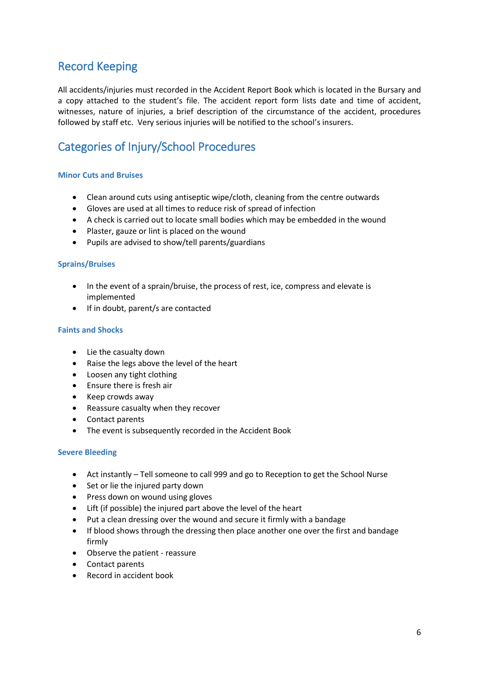# Record Keeping

All accidents/injuries must recorded in the Accident Report Book which is located in the Bursary and a copy attached to the student's file. The accident report form lists date and time of accident, witnesses, nature of injuries, a brief description of the circumstance of the accident, procedures followed by staff etc. Very serious injuries will be notified to the school's insurers.

# Categories of Injury/School Procedures

## **Minor Cuts and Bruises**

- Clean around cuts using antiseptic wipe/cloth, cleaning from the centre outwards
- Gloves are used at all times to reduce risk of spread of infection
- A check is carried out to locate small bodies which may be embedded in the wound
- Plaster, gauze or lint is placed on the wound
- Pupils are advised to show/tell parents/guardians

## **Sprains/Bruises**

- In the event of a sprain/bruise, the process of rest, ice, compress and elevate is implemented
- If in doubt, parent/s are contacted

## **Faints and Shocks**

- Lie the casualty down
- Raise the legs above the level of the heart
- Loosen any tight clothing
- Ensure there is fresh air
- Keep crowds away
- Reassure casualty when they recover
- Contact parents
- The event is subsequently recorded in the Accident Book

## **Severe Bleeding**

- Act instantly Tell someone to call 999 and go to Reception to get the School Nurse
- Set or lie the injured party down
- Press down on wound using gloves
- Lift (if possible) the injured part above the level of the heart
- Put a clean dressing over the wound and secure it firmly with a bandage
- If blood shows through the dressing then place another one over the first and bandage firmly
- Observe the patient reassure
- Contact parents
- Record in accident book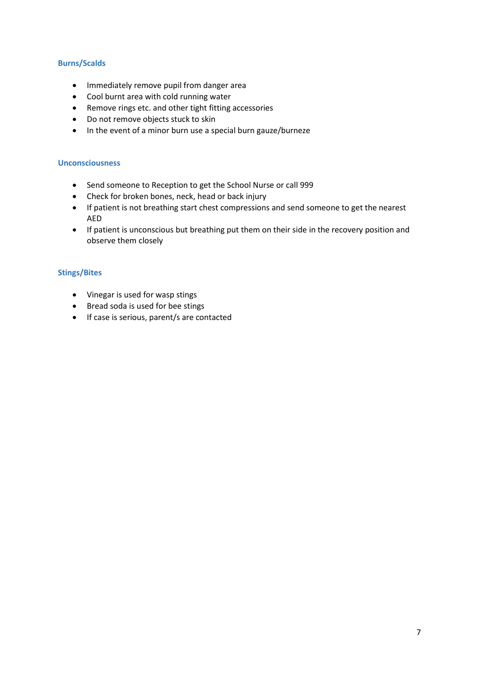## **Burns/Scalds**

- Immediately remove pupil from danger area
- Cool burnt area with cold running water
- Remove rings etc. and other tight fitting accessories
- Do not remove objects stuck to skin
- In the event of a minor burn use a special burn gauze/burneze

## **Unconsciousness**

- Send someone to Reception to get the School Nurse or call 999
- Check for broken bones, neck, head or back injury
- If patient is not breathing start chest compressions and send someone to get the nearest AED
- If patient is unconscious but breathing put them on their side in the recovery position and observe them closely

## **Stings/Bites**

- Vinegar is used for wasp stings
- Bread soda is used for bee stings
- If case is serious, parent/s are contacted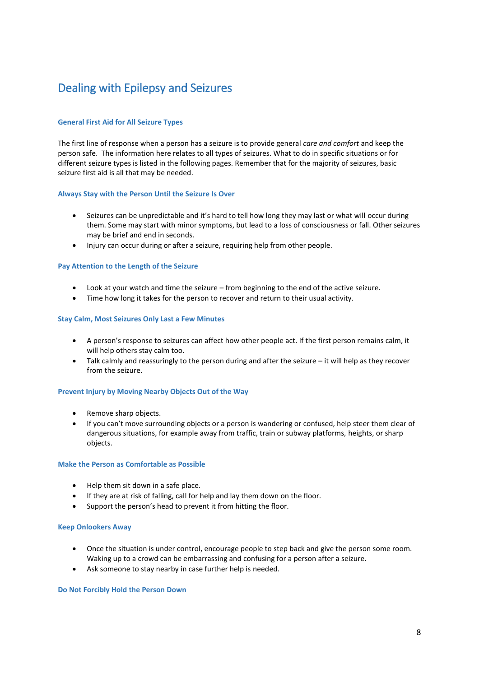# Dealing with Epilepsy and Seizures

## **General First Aid for All Seizure Types**

The first line of response when a person has a seizure is to provide general *care and comfort* and keep the person safe. The information here relates to all types of seizures. What to do in specific situations or for different seizure types is listed in the following pages. Remember that for the majority of seizures, basic seizure first aid is all that may be needed.

### **Always Stay with the Person Until the Seizure Is Over**

- Seizures can be unpredictable and it's hard to tell how long they may last or what will occur during them. Some may start with minor symptoms, but lead to a loss of consciousness or fall. Other seizures may be brief and end in seconds.
- Injury can occur during or after a seizure, requiring help from other people.

### **Pay Attention to the Length of the Seizure**

- Look at your watch and time the seizure from beginning to the end of the active seizure.
- Time how long it takes for the person to recover and return to their usual activity.

### **Stay Calm, Most Seizures Only Last a Few Minutes**

- A person's response to seizures can affect how other people act. If the first person remains calm, it will help others stay calm too.
- Talk calmly and reassuringly to the person during and after the seizure it will help as they recover from the seizure.

#### **Prevent Injury by Moving Nearby Objects Out of the Way**

- Remove sharp objects.
- If you can't move surrounding objects or a person is wandering or confused, help steer them clear of dangerous situations, for example away from traffic, train or subway platforms, heights, or sharp objects.

#### **Make the Person as Comfortable as Possible**

- Help them sit down in a safe place.
- If they are at risk of falling, call for help and lay them down on the floor.
- Support the person's head to prevent it from hitting the floor.

#### **Keep Onlookers Away**

- Once the situation is under control, encourage people to step back and give the person some room. Waking up to a crowd can be embarrassing and confusing for a person after a seizure.
- Ask someone to stay nearby in case further help is needed.

#### **Do Not Forcibly Hold the Person Down**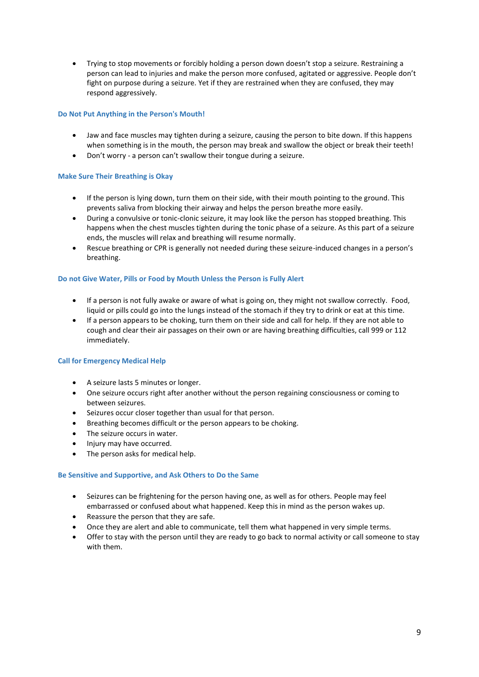• Trying to stop movements or forcibly holding a person down doesn't stop a seizure. Restraining a person can lead to injuries and make the person more confused, agitated or aggressive. People don't fight on purpose during a seizure. Yet if they are restrained when they are confused, they may respond aggressively.

## **Do Not Put Anything in the Person's Mouth!**

- Jaw and face muscles may tighten during a seizure, causing the person to bite down. If this happens when something is in the mouth, the person may break and swallow the object or break their teeth!
- Don't worry a person can't swallow their tongue during a seizure.

### **Make Sure Their Breathing is Okay**

- If the person is lying down, turn them on their side, with their mouth pointing to the ground. This prevents saliva from blocking their airway and helps the person breathe more easily.
- During a convulsive or tonic-clonic seizure, it may look like the person has stopped breathing. This happens when the chest muscles tighten during the tonic phase of a seizure. As this part of a seizure ends, the muscles will relax and breathing will resume normally.
- Rescue breathing or CPR is generally not needed during these seizure-induced changes in a person's breathing.

### **Do not Give Water, Pills or Food by Mouth Unless the Person is Fully Alert**

- If a person is not fully awake or aware of what is going on, they might not swallow correctly. Food, liquid or pills could go into the lungs instead of the stomach if they try to drink or eat at this time.
- If a person appears to be choking, turn them on their side and call for help. If they are not able to cough and clear their air passages on their own or are having breathing difficulties, call 999 or 112 immediately.

## **Call for Emergency Medical Help**

- A seizure lasts 5 minutes or longer.
- One seizure occurs right after another without the person regaining consciousness or coming to between seizures.
- Seizures occur closer together than usual for that person.
- Breathing becomes difficult or the person appears to be choking.
- The seizure occurs in water.
- Injury may have occurred.
- The person asks for medical help.

## **Be Sensitive and Supportive, and Ask Others to Do the Same**

- Seizures can be frightening for the person having one, as well as for others. People may feel embarrassed or confused about what happened. Keep this in mind as the person wakes up.
- Reassure the person that they are safe.
- Once they are alert and able to communicate, tell them what happened in very simple terms.
- Offer to stay with the person until they are ready to go back to normal activity or call someone to stay with them.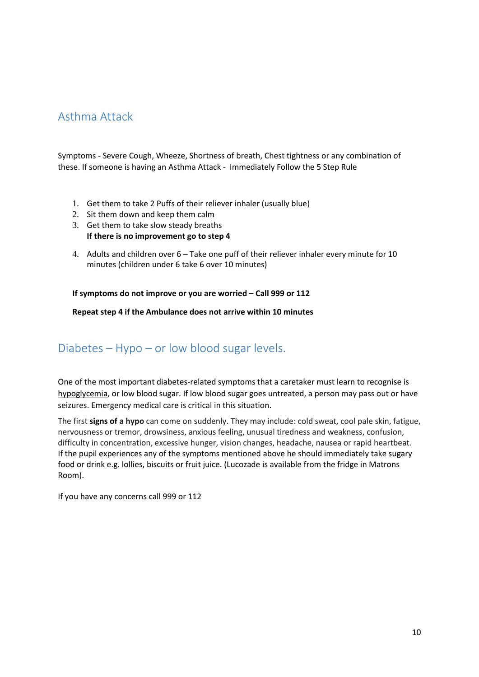# Asthma Attack

Symptoms - Severe Cough, Wheeze, Shortness of breath, Chest tightness or any combination of these. If someone is having an Asthma Attack - Immediately Follow the 5 Step Rule

- 1. Get them to take 2 Puffs of their reliever inhaler (usually blue)
- 2. Sit them down and keep them calm
- 3. Get them to take slow steady breaths **If there is no improvement go to step 4**
- 4. Adults and children over 6 Take one puff of their reliever inhaler every minute for 10 minutes (children under 6 take 6 over 10 minutes)

**If symptoms do not improve or you are worried – Call 999 or 112** 

**Repeat step 4 if the Ambulance does not arrive within 10 minutes**

## Diabetes – Hypo – or low blood sugar levels.

One of the most important diabetes-related symptoms that a caretaker must learn to recognise is [hypoglycemia,](file:///C:/PublicSite/index.aspx%3fpuid=3DA46228-905A-47BB-BB1C-A8478D57422B&ContentID=266849&searchTerm=) or low blood sugar. If low blood sugar goes untreated, a person may pass out or have seizures. Emergency medical care is critical in this situation.

The first **signs of a hypo** can come on suddenly. They may include: cold sweat, cool pale skin, fatigue, nervousness or tremor, drowsiness, anxious feeling, unusual tiredness and weakness, confusion, difficulty in concentration, excessive hunger, vision changes, headache, nausea or rapid heartbeat. If the pupil experiences any of the symptoms mentioned above he should immediately take sugary food or drink e.g. lollies, biscuits or fruit juice. (Lucozade is available from the fridge in Matrons Room).

If you have any concerns call 999 or 112